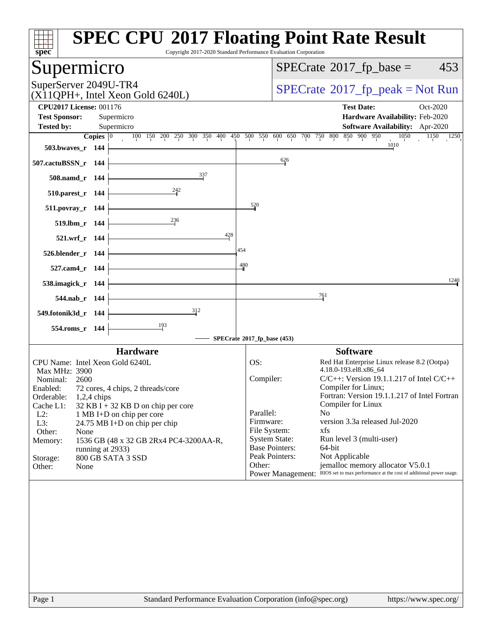| SuperServer 2049U-TR4<br>$(X11QPH+$ , Intel Xeon Gold 6240L)<br>Supermicro<br>Supermicro<br><b>Copies</b> $\begin{bmatrix} 0 & 100 & 150 & 200 & 250 & 300 & 350 & 400 & 450 & 500 & 550 & 600 & 650 & 700 & 750 & 800 & 850 & 900 & 950 \end{bmatrix}$<br>$\frac{337}{2}$<br>236<br>428 | $\frac{626}{9}$<br>520<br>454                                                                                                                                                                                                                                                   | $SPECrate^{\circ}2017$ _fp_peak = Not Run<br><b>Test Date:</b><br>Oct-2020<br>Hardware Availability: Feb-2020<br>Software Availability: Apr-2020<br>$\overline{1050}$ $\overline{1150}$ $\overline{1250}$<br>$\frac{10}{10}$ |
|------------------------------------------------------------------------------------------------------------------------------------------------------------------------------------------------------------------------------------------------------------------------------------------|---------------------------------------------------------------------------------------------------------------------------------------------------------------------------------------------------------------------------------------------------------------------------------|------------------------------------------------------------------------------------------------------------------------------------------------------------------------------------------------------------------------------|
|                                                                                                                                                                                                                                                                                          |                                                                                                                                                                                                                                                                                 |                                                                                                                                                                                                                              |
|                                                                                                                                                                                                                                                                                          |                                                                                                                                                                                                                                                                                 |                                                                                                                                                                                                                              |
|                                                                                                                                                                                                                                                                                          |                                                                                                                                                                                                                                                                                 |                                                                                                                                                                                                                              |
|                                                                                                                                                                                                                                                                                          |                                                                                                                                                                                                                                                                                 |                                                                                                                                                                                                                              |
|                                                                                                                                                                                                                                                                                          |                                                                                                                                                                                                                                                                                 |                                                                                                                                                                                                                              |
|                                                                                                                                                                                                                                                                                          |                                                                                                                                                                                                                                                                                 |                                                                                                                                                                                                                              |
|                                                                                                                                                                                                                                                                                          |                                                                                                                                                                                                                                                                                 |                                                                                                                                                                                                                              |
|                                                                                                                                                                                                                                                                                          |                                                                                                                                                                                                                                                                                 |                                                                                                                                                                                                                              |
|                                                                                                                                                                                                                                                                                          |                                                                                                                                                                                                                                                                                 |                                                                                                                                                                                                                              |
|                                                                                                                                                                                                                                                                                          |                                                                                                                                                                                                                                                                                 |                                                                                                                                                                                                                              |
|                                                                                                                                                                                                                                                                                          |                                                                                                                                                                                                                                                                                 |                                                                                                                                                                                                                              |
|                                                                                                                                                                                                                                                                                          |                                                                                                                                                                                                                                                                                 |                                                                                                                                                                                                                              |
|                                                                                                                                                                                                                                                                                          | 480                                                                                                                                                                                                                                                                             |                                                                                                                                                                                                                              |
|                                                                                                                                                                                                                                                                                          |                                                                                                                                                                                                                                                                                 | 1240                                                                                                                                                                                                                         |
|                                                                                                                                                                                                                                                                                          |                                                                                                                                                                                                                                                                                 | 761                                                                                                                                                                                                                          |
| 312                                                                                                                                                                                                                                                                                      |                                                                                                                                                                                                                                                                                 |                                                                                                                                                                                                                              |
|                                                                                                                                                                                                                                                                                          |                                                                                                                                                                                                                                                                                 |                                                                                                                                                                                                                              |
|                                                                                                                                                                                                                                                                                          |                                                                                                                                                                                                                                                                                 |                                                                                                                                                                                                                              |
|                                                                                                                                                                                                                                                                                          |                                                                                                                                                                                                                                                                                 | <b>Software</b>                                                                                                                                                                                                              |
|                                                                                                                                                                                                                                                                                          | OS:                                                                                                                                                                                                                                                                             | Red Hat Enterprise Linux release 8.2 (Ootpa)<br>4.18.0-193.el8.x86_64                                                                                                                                                        |
|                                                                                                                                                                                                                                                                                          | Compiler:                                                                                                                                                                                                                                                                       | $C/C++$ : Version 19.1.1.217 of Intel $C/C++$                                                                                                                                                                                |
|                                                                                                                                                                                                                                                                                          |                                                                                                                                                                                                                                                                                 | Compiler for Linux;                                                                                                                                                                                                          |
|                                                                                                                                                                                                                                                                                          |                                                                                                                                                                                                                                                                                 | Fortran: Version 19.1.1.217 of Intel Fortran<br>Compiler for Linux                                                                                                                                                           |
|                                                                                                                                                                                                                                                                                          | Parallel:                                                                                                                                                                                                                                                                       | N <sub>0</sub>                                                                                                                                                                                                               |
|                                                                                                                                                                                                                                                                                          | Firmware:                                                                                                                                                                                                                                                                       | version 3.3a released Jul-2020                                                                                                                                                                                               |
|                                                                                                                                                                                                                                                                                          |                                                                                                                                                                                                                                                                                 | xfs                                                                                                                                                                                                                          |
|                                                                                                                                                                                                                                                                                          |                                                                                                                                                                                                                                                                                 | Run level 3 (multi-user)<br>64-bit                                                                                                                                                                                           |
|                                                                                                                                                                                                                                                                                          | Peak Pointers:                                                                                                                                                                                                                                                                  | Not Applicable                                                                                                                                                                                                               |
|                                                                                                                                                                                                                                                                                          | Other:                                                                                                                                                                                                                                                                          | jemalloc memory allocator V5.0.1                                                                                                                                                                                             |
|                                                                                                                                                                                                                                                                                          |                                                                                                                                                                                                                                                                                 | Power Management: BIOS set to max performance at the cost of additional power usage.                                                                                                                                         |
| running at 2933)                                                                                                                                                                                                                                                                         | <b>Hardware</b><br>CPU Name: Intel Xeon Gold 6240L<br>Enabled: 72 cores, 4 chips, 2 threads/core<br>$32$ KB I + 32 KB D on chip per core<br>1 MB I+D on chip per core<br>$24.75 \text{ MB I+D}$ on chip per chip<br>1536 GB (48 x 32 GB 2Rx4 PC4-3200AA-R,<br>800 GB SATA 3 SSD | SPECrate®2017_fp_base (453)<br>File System:<br><b>System State:</b><br><b>Base Pointers:</b>                                                                                                                                 |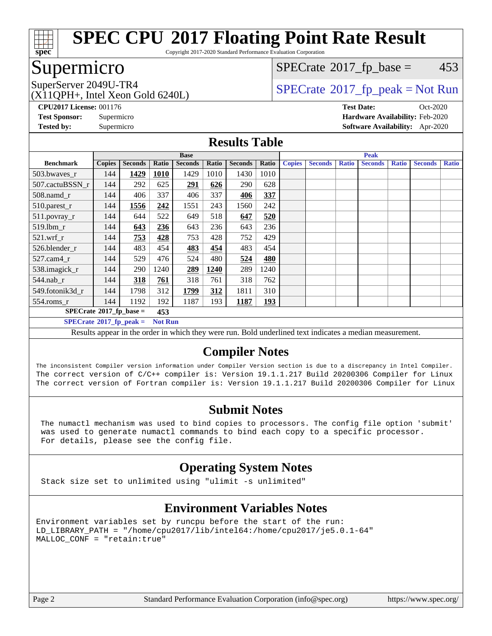

Copyright 2017-2020 Standard Performance Evaluation Corporation

# Supermicro

 $SPECTate@2017<sub>fr</sub> base = 453$ 

# SuperServer 2049U-TR4  $SPECrate@2017_fp\_peak = Not Run$  $SPECrate@2017_fp\_peak = Not Run$

(X11QPH+, Intel Xeon Gold 6240L)

**[CPU2017 License:](http://www.spec.org/auto/cpu2017/Docs/result-fields.html#CPU2017License)** 001176 **[Test Date:](http://www.spec.org/auto/cpu2017/Docs/result-fields.html#TestDate)** Oct-2020 **[Test Sponsor:](http://www.spec.org/auto/cpu2017/Docs/result-fields.html#TestSponsor)** Supermicro **[Hardware Availability:](http://www.spec.org/auto/cpu2017/Docs/result-fields.html#HardwareAvailability)** Feb-2020 **[Tested by:](http://www.spec.org/auto/cpu2017/Docs/result-fields.html#Testedby)** Supermicro **[Software Availability:](http://www.spec.org/auto/cpu2017/Docs/result-fields.html#SoftwareAvailability)** Apr-2020

#### **[Results Table](http://www.spec.org/auto/cpu2017/Docs/result-fields.html#ResultsTable)**

|                                                                                                                                                                                                                                                                                                                                                                                                                                                                                                                                                       | <b>Base</b>   |                |       |                |       | <b>Peak</b>    |            |               |                |              |                |              |                |              |
|-------------------------------------------------------------------------------------------------------------------------------------------------------------------------------------------------------------------------------------------------------------------------------------------------------------------------------------------------------------------------------------------------------------------------------------------------------------------------------------------------------------------------------------------------------|---------------|----------------|-------|----------------|-------|----------------|------------|---------------|----------------|--------------|----------------|--------------|----------------|--------------|
| <b>Benchmark</b>                                                                                                                                                                                                                                                                                                                                                                                                                                                                                                                                      | <b>Copies</b> | <b>Seconds</b> | Ratio | <b>Seconds</b> | Ratio | <b>Seconds</b> | Ratio      | <b>Copies</b> | <b>Seconds</b> | <b>Ratio</b> | <b>Seconds</b> | <b>Ratio</b> | <b>Seconds</b> | <b>Ratio</b> |
| 503.bwayes_r                                                                                                                                                                                                                                                                                                                                                                                                                                                                                                                                          | 144           | 1429           | 1010  | 1429           | 1010  | 1430           | 1010       |               |                |              |                |              |                |              |
| 507.cactuBSSN r                                                                                                                                                                                                                                                                                                                                                                                                                                                                                                                                       | 144           | 292            | 625   | 291            | 626   | 290            | 628        |               |                |              |                |              |                |              |
| $508$ .namd $r$                                                                                                                                                                                                                                                                                                                                                                                                                                                                                                                                       | 144           | 406            | 337   | 406            | 337   | 406            | 337        |               |                |              |                |              |                |              |
| 510.parest_r                                                                                                                                                                                                                                                                                                                                                                                                                                                                                                                                          | 144           | 1556           | 242   | 1551           | 243   | 1560           | 242        |               |                |              |                |              |                |              |
| 511.povray_r                                                                                                                                                                                                                                                                                                                                                                                                                                                                                                                                          | 144           | 644            | 522   | 649            | 518   | 647            | 520        |               |                |              |                |              |                |              |
| 519.lbm r                                                                                                                                                                                                                                                                                                                                                                                                                                                                                                                                             | 144           | 643            | 236   | 643            | 236   | 643            | 236        |               |                |              |                |              |                |              |
| $521$ .wrf r                                                                                                                                                                                                                                                                                                                                                                                                                                                                                                                                          | 144           | 753            | 428   | 753            | 428   | 752            | 429        |               |                |              |                |              |                |              |
| 526.blender r                                                                                                                                                                                                                                                                                                                                                                                                                                                                                                                                         | 144           | 483            | 454   | 483            | 454   | 483            | 454        |               |                |              |                |              |                |              |
| $527$ .cam $4r$                                                                                                                                                                                                                                                                                                                                                                                                                                                                                                                                       | 144           | 529            | 476   | 524            | 480   | 524            | 480        |               |                |              |                |              |                |              |
| 538.imagick_r                                                                                                                                                                                                                                                                                                                                                                                                                                                                                                                                         | 144           | 290            | 1240  | 289            | 1240  | 289            | 1240       |               |                |              |                |              |                |              |
| $544$ .nab_r                                                                                                                                                                                                                                                                                                                                                                                                                                                                                                                                          | 144           | 318            | 761   | 318            | 761   | 318            | 762        |               |                |              |                |              |                |              |
| 549.fotonik3d r                                                                                                                                                                                                                                                                                                                                                                                                                                                                                                                                       | 144           | 1798           | 312   | 1799           | 312   | 1811           | 310        |               |                |              |                |              |                |              |
| $554$ .roms_r                                                                                                                                                                                                                                                                                                                                                                                                                                                                                                                                         | 144           | 1192           | 192   | 1187           | 193   | 1187           | <u>193</u> |               |                |              |                |              |                |              |
| $SPECrate*2017_fp\_base =$<br>453                                                                                                                                                                                                                                                                                                                                                                                                                                                                                                                     |               |                |       |                |       |                |            |               |                |              |                |              |                |              |
| $SPECrate^{\circ}2017$ fp peak =<br><b>Not Run</b>                                                                                                                                                                                                                                                                                                                                                                                                                                                                                                    |               |                |       |                |       |                |            |               |                |              |                |              |                |              |
| $\mathbf{A} = \mathbf{A} \mathbf{A} + \mathbf{A} \mathbf{A} + \mathbf{A} \mathbf{A} + \mathbf{A} \mathbf{A} + \mathbf{A} \mathbf{A} + \mathbf{A} \mathbf{A} + \mathbf{A} \mathbf{A} + \mathbf{A} \mathbf{A} + \mathbf{A} \mathbf{A} + \mathbf{A} \mathbf{A} + \mathbf{A} \mathbf{A} + \mathbf{A} \mathbf{A} + \mathbf{A} \mathbf{A} + \mathbf{A} \mathbf{A} + \mathbf{A} \mathbf{A} + \mathbf{A} \mathbf{A} + \mathbf{A$<br>$\cdot$<br><b>All Service</b><br>$\mathbf{u}$ $\mathbf{v}$<br>$\cdots$<br>P <sub>11</sub><br>$\mathbf{r}$<br>$\mathbf{1}$ |               |                |       |                |       |                |            |               |                |              |                |              |                |              |

Results appear in the [order in which they were run](http://www.spec.org/auto/cpu2017/Docs/result-fields.html#RunOrder). Bold underlined text [indicates a median measurement.](http://www.spec.org/auto/cpu2017/Docs/result-fields.html#Median)

#### **[Compiler Notes](http://www.spec.org/auto/cpu2017/Docs/result-fields.html#CompilerNotes)**

The inconsistent Compiler version information under Compiler Version section is due to a discrepancy in Intel Compiler. The correct version of C/C++ compiler is: Version 19.1.1.217 Build 20200306 Compiler for Linux The correct version of Fortran compiler is: Version 19.1.1.217 Build 20200306 Compiler for Linux

### **[Submit Notes](http://www.spec.org/auto/cpu2017/Docs/result-fields.html#SubmitNotes)**

 The numactl mechanism was used to bind copies to processors. The config file option 'submit' was used to generate numactl commands to bind each copy to a specific processor. For details, please see the config file.

### **[Operating System Notes](http://www.spec.org/auto/cpu2017/Docs/result-fields.html#OperatingSystemNotes)**

Stack size set to unlimited using "ulimit -s unlimited"

### **[Environment Variables Notes](http://www.spec.org/auto/cpu2017/Docs/result-fields.html#EnvironmentVariablesNotes)**

Environment variables set by runcpu before the start of the run: LD\_LIBRARY\_PATH = "/home/cpu2017/lib/intel64:/home/cpu2017/je5.0.1-64" MALLOC\_CONF = "retain:true"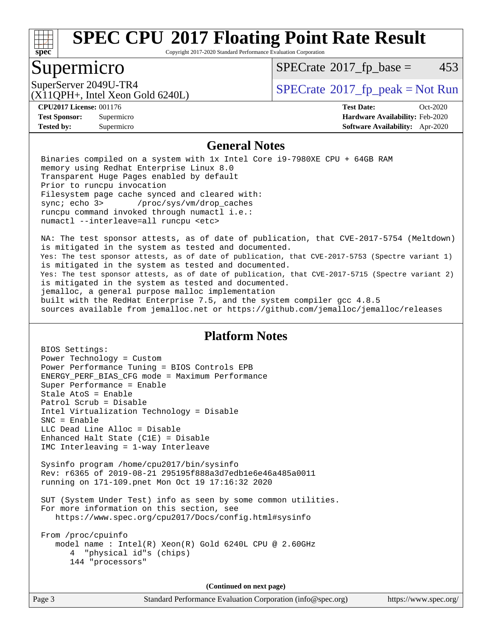

Copyright 2017-2020 Standard Performance Evaluation Corporation

# Supermicro

 $SPECTate@2017<sub>fr</sub> base = 453$ 

(X11QPH+, Intel Xeon Gold 6240L)

SuperServer 2049U-TR4  $SPECrate@2017$  $SPECrate@2017$  fp\_peak = Not Run

**[Tested by:](http://www.spec.org/auto/cpu2017/Docs/result-fields.html#Testedby)** Supermicro **[Software Availability:](http://www.spec.org/auto/cpu2017/Docs/result-fields.html#SoftwareAvailability)** Apr-2020

**[CPU2017 License:](http://www.spec.org/auto/cpu2017/Docs/result-fields.html#CPU2017License)** 001176 **[Test Date:](http://www.spec.org/auto/cpu2017/Docs/result-fields.html#TestDate)** Oct-2020 **[Test Sponsor:](http://www.spec.org/auto/cpu2017/Docs/result-fields.html#TestSponsor)** Supermicro **[Hardware Availability:](http://www.spec.org/auto/cpu2017/Docs/result-fields.html#HardwareAvailability)** Feb-2020

#### **[General Notes](http://www.spec.org/auto/cpu2017/Docs/result-fields.html#GeneralNotes)**

 Binaries compiled on a system with 1x Intel Core i9-7980XE CPU + 64GB RAM memory using Redhat Enterprise Linux 8.0 Transparent Huge Pages enabled by default Prior to runcpu invocation Filesystem page cache synced and cleared with: sync; echo 3> /proc/sys/vm/drop\_caches runcpu command invoked through numactl i.e.: numactl --interleave=all runcpu <etc>

 NA: The test sponsor attests, as of date of publication, that CVE-2017-5754 (Meltdown) is mitigated in the system as tested and documented. Yes: The test sponsor attests, as of date of publication, that CVE-2017-5753 (Spectre variant 1) is mitigated in the system as tested and documented. Yes: The test sponsor attests, as of date of publication, that CVE-2017-5715 (Spectre variant 2) is mitigated in the system as tested and documented. jemalloc, a general purpose malloc implementation built with the RedHat Enterprise 7.5, and the system compiler gcc 4.8.5 sources available from jemalloc.net or<https://github.com/jemalloc/jemalloc/releases>

#### **[Platform Notes](http://www.spec.org/auto/cpu2017/Docs/result-fields.html#PlatformNotes)**

 BIOS Settings: Power Technology = Custom Power Performance Tuning = BIOS Controls EPB ENERGY\_PERF\_BIAS\_CFG mode = Maximum Performance Super Performance = Enable Stale AtoS = Enable Patrol Scrub = Disable Intel Virtualization Technology = Disable SNC = Enable LLC Dead Line Alloc = Disable Enhanced Halt State (C1E) = Disable IMC Interleaving = 1-way Interleave Sysinfo program /home/cpu2017/bin/sysinfo Rev: r6365 of 2019-08-21 295195f888a3d7edb1e6e46a485a0011 running on 171-109.pnet Mon Oct 19 17:16:32 2020 SUT (System Under Test) info as seen by some common utilities. For more information on this section, see <https://www.spec.org/cpu2017/Docs/config.html#sysinfo> From /proc/cpuinfo model name : Intel(R) Xeon(R) Gold 6240L CPU @ 2.60GHz 4 "physical id"s (chips) 144 "processors"

**(Continued on next page)**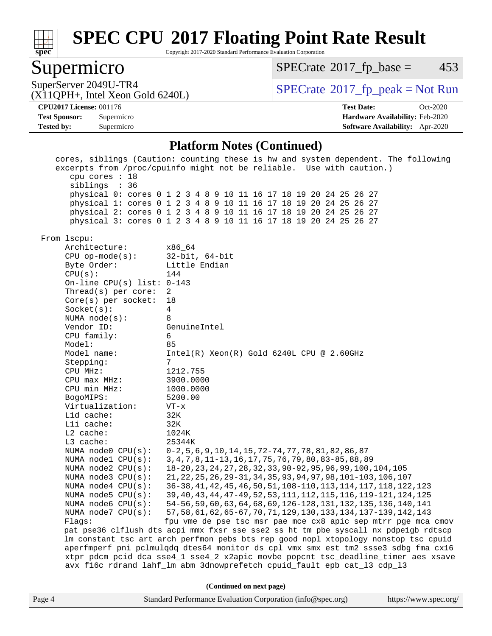

Copyright 2017-2020 Standard Performance Evaluation Corporation

## Supermicro

 $SPECTate@2017<sub>fp</sub> base = 453$ 

SuperServer 2049U-TR4  $SPECrate^{\circ}2017$  $SPECrate^{\circ}2017$ \_fp\_peak = Not Run

#### (X11QPH+, Intel Xeon Gold 6240L)

**[Tested by:](http://www.spec.org/auto/cpu2017/Docs/result-fields.html#Testedby)** Supermicro **[Software Availability:](http://www.spec.org/auto/cpu2017/Docs/result-fields.html#SoftwareAvailability)** Apr-2020

**[CPU2017 License:](http://www.spec.org/auto/cpu2017/Docs/result-fields.html#CPU2017License)** 001176 **[Test Date:](http://www.spec.org/auto/cpu2017/Docs/result-fields.html#TestDate)** Oct-2020 **[Test Sponsor:](http://www.spec.org/auto/cpu2017/Docs/result-fields.html#TestSponsor)** Supermicro **[Hardware Availability:](http://www.spec.org/auto/cpu2017/Docs/result-fields.html#HardwareAvailability)** Feb-2020

#### **[Platform Notes \(Continued\)](http://www.spec.org/auto/cpu2017/Docs/result-fields.html#PlatformNotes)**

Page 4 Standard Performance Evaluation Corporation [\(info@spec.org\)](mailto:info@spec.org) <https://www.spec.org/> cores, siblings (Caution: counting these is hw and system dependent. The following excerpts from /proc/cpuinfo might not be reliable. Use with caution.) cpu cores : 18 siblings : 36 physical 0: cores 0 1 2 3 4 8 9 10 11 16 17 18 19 20 24 25 26 27 physical 1: cores 0 1 2 3 4 8 9 10 11 16 17 18 19 20 24 25 26 27 physical 2: cores 0 1 2 3 4 8 9 10 11 16 17 18 19 20 24 25 26 27 physical 3: cores 0 1 2 3 4 8 9 10 11 16 17 18 19 20 24 25 26 27 From lscpu: Architecture: x86\_64 CPU op-mode(s): 32-bit, 64-bit Byte Order: Little Endian CPU(s): 144 On-line CPU(s) list: 0-143 Thread(s) per core: 2 Core(s) per socket: 18 Socket(s): 4 NUMA node(s): 8 Vendor ID: GenuineIntel CPU family: 6 Model: 85 Model name: Intel(R) Xeon(R) Gold 6240L CPU @ 2.60GHz Stepping: 7 CPU MHz: 1212.755 CPU max MHz: 3900.0000 CPU min MHz: 1000.0000 BogoMIPS: 5200.00 Virtualization: VT-x L1d cache: 32K L1i cache: 32K L2 cache: 1024K<br>
L3 cache: 25344K  $L3$  cache: NUMA node0 CPU(s): 0-2,5,6,9,10,14,15,72-74,77,78,81,82,86,87 NUMA node1 CPU(s): 3,4,7,8,11-13,16,17,75,76,79,80,83-85,88,89 NUMA node2 CPU(s): 18-20,23,24,27,28,32,33,90-92,95,96,99,100,104,105 NUMA node3 CPU(s): 21,22,25,26,29-31,34,35,93,94,97,98,101-103,106,107 NUMA node4 CPU(s): 36-38,41,42,45,46,50,51,108-110,113,114,117,118,122,123 NUMA node5 CPU(s): 39,40,43,44,47-49,52,53,111,112,115,116,119-121,124,125 NUMA node6 CPU(s): 54-56,59,60,63,64,68,69,126-128,131,132,135,136,140,141 NUMA node7 CPU(s): 57,58,61,62,65-67,70,71,129,130,133,134,137-139,142,143 Flags: fpu vme de pse tsc msr pae mce cx8 apic sep mtrr pge mca cmov pat pse36 clflush dts acpi mmx fxsr sse sse2 ss ht tm pbe syscall nx pdpe1gb rdtscp lm constant\_tsc art arch\_perfmon pebs bts rep\_good nopl xtopology nonstop\_tsc cpuid aperfmperf pni pclmulqdq dtes64 monitor ds\_cpl vmx smx est tm2 ssse3 sdbg fma cx16 xtpr pdcm pcid dca sse4\_1 sse4\_2 x2apic movbe popcnt tsc\_deadline\_timer aes xsave avx f16c rdrand lahf\_lm abm 3dnowprefetch cpuid\_fault epb cat\_l3 cdp\_l3 **(Continued on next page)**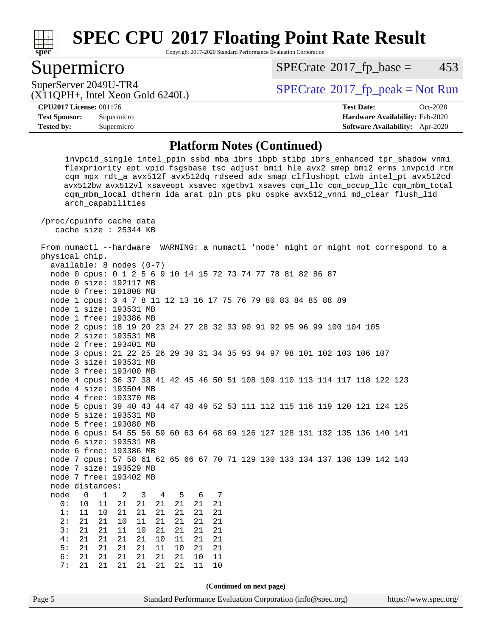

Copyright 2017-2020 Standard Performance Evaluation Corporation

# Supermicro

 $SPECTate@2017_fp\_base = 453$ 

(X11QPH+, Intel Xeon Gold 6240L)

SuperServer 2049U-TR4  $SPECrate@2017_fp\_peak = Not Run$  $SPECrate@2017_fp\_peak = Not Run$ 

**[Tested by:](http://www.spec.org/auto/cpu2017/Docs/result-fields.html#Testedby)** Supermicro **[Software Availability:](http://www.spec.org/auto/cpu2017/Docs/result-fields.html#SoftwareAvailability)** Apr-2020

**[CPU2017 License:](http://www.spec.org/auto/cpu2017/Docs/result-fields.html#CPU2017License)** 001176 **[Test Date:](http://www.spec.org/auto/cpu2017/Docs/result-fields.html#TestDate)** Oct-2020 **[Test Sponsor:](http://www.spec.org/auto/cpu2017/Docs/result-fields.html#TestSponsor)** Supermicro **[Hardware Availability:](http://www.spec.org/auto/cpu2017/Docs/result-fields.html#HardwareAvailability)** Feb-2020

#### **[Platform Notes \(Continued\)](http://www.spec.org/auto/cpu2017/Docs/result-fields.html#PlatformNotes)**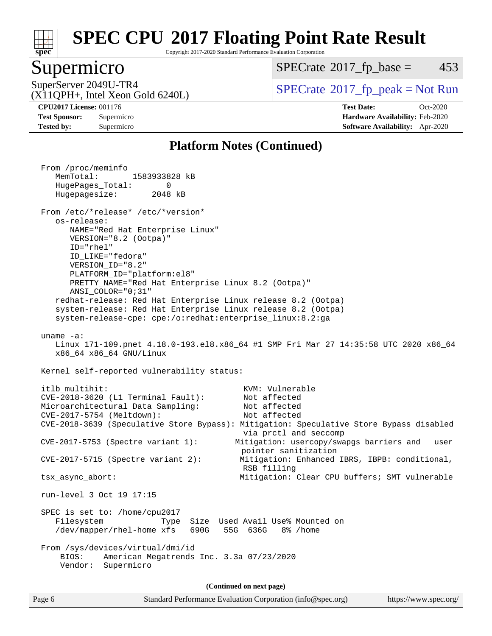

Copyright 2017-2020 Standard Performance Evaluation Corporation

## Supermicro

 $SPECTate@2017_fp\_base = 453$ 

SuperServer 2049U-TR4<br>(X11OPH+ Intel Xeon Gold 6240L)  $\begin{array}{c} | \text{SPECrate} \textcircled{\textdegree} 2017\_fp\_peak = Not Run \end{array}$  $\begin{array}{c} | \text{SPECrate} \textcircled{\textdegree} 2017\_fp\_peak = Not Run \end{array}$  $\begin{array}{c} | \text{SPECrate} \textcircled{\textdegree} 2017\_fp\_peak = Not Run \end{array}$ 

(X11QPH+, Intel Xeon Gold 6240L)

**[Tested by:](http://www.spec.org/auto/cpu2017/Docs/result-fields.html#Testedby)** Supermicro **[Software Availability:](http://www.spec.org/auto/cpu2017/Docs/result-fields.html#SoftwareAvailability)** Apr-2020

**[CPU2017 License:](http://www.spec.org/auto/cpu2017/Docs/result-fields.html#CPU2017License)** 001176 **[Test Date:](http://www.spec.org/auto/cpu2017/Docs/result-fields.html#TestDate)** Oct-2020 **[Test Sponsor:](http://www.spec.org/auto/cpu2017/Docs/result-fields.html#TestSponsor)** Supermicro **[Hardware Availability:](http://www.spec.org/auto/cpu2017/Docs/result-fields.html#HardwareAvailability)** Feb-2020

#### **[Platform Notes \(Continued\)](http://www.spec.org/auto/cpu2017/Docs/result-fields.html#PlatformNotes)**

 From /proc/meminfo MemTotal: 1583933828 kB HugePages\_Total: 0 Hugepagesize: 2048 kB From /etc/\*release\* /etc/\*version\* os-release: NAME="Red Hat Enterprise Linux" VERSION="8.2 (Ootpa)" ID="rhel" ID\_LIKE="fedora" VERSION\_ID="8.2" PLATFORM\_ID="platform:el8" PRETTY\_NAME="Red Hat Enterprise Linux 8.2 (Ootpa)" ANSI\_COLOR="0;31" redhat-release: Red Hat Enterprise Linux release 8.2 (Ootpa) system-release: Red Hat Enterprise Linux release 8.2 (Ootpa) system-release-cpe: cpe:/o:redhat:enterprise\_linux:8.2:ga uname -a: Linux 171-109.pnet 4.18.0-193.el8.x86\_64 #1 SMP Fri Mar 27 14:35:58 UTC 2020 x86\_64 x86\_64 x86\_64 GNU/Linux Kernel self-reported vulnerability status: itlb\_multihit:  $KVM: Vulnerable$  CVE-2018-3620 (L1 Terminal Fault): Not affected Microarchitectural Data Sampling: Not affected CVE-2017-5754 (Meltdown): Not affected CVE-2018-3639 (Speculative Store Bypass): Mitigation: Speculative Store Bypass disabled via prctl and seccomp CVE-2017-5753 (Spectre variant 1): Mitigation: usercopy/swapgs barriers and \_\_user pointer sanitization CVE-2017-5715 (Spectre variant 2): Mitigation: Enhanced IBRS, IBPB: conditional, RSB filling tsx\_async\_abort: Mitigation: Clear CPU buffers; SMT vulnerable run-level 3 Oct 19 17:15 SPEC is set to: /home/cpu2017 Filesystem Type Size Used Avail Use% Mounted on /dev/mapper/rhel-home xfs 690G 55G 636G 8% /home From /sys/devices/virtual/dmi/id BIOS: American Megatrends Inc. 3.3a 07/23/2020 Vendor: Supermicro **(Continued on next page)**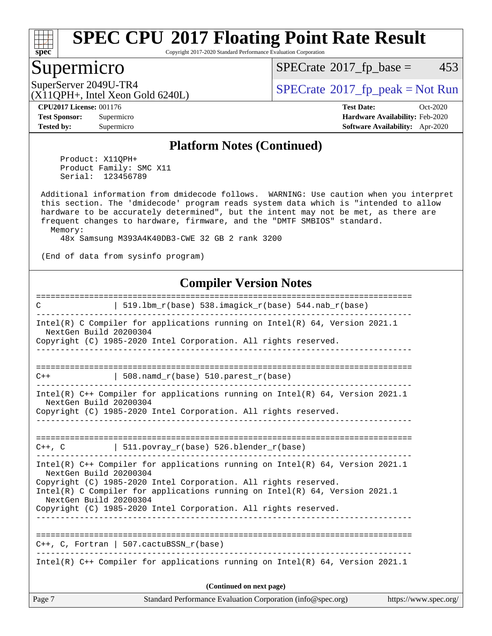

Copyright 2017-2020 Standard Performance Evaluation Corporation

## Supermicro

 $SPECTate@2017_fp\_base = 453$ 

(X11QPH+, Intel Xeon Gold 6240L)

SuperServer 2049U-TR4  $SPECrate^{\circ}2017$  $SPECrate^{\circ}2017$ \_fp\_peak = Not Run

**[Tested by:](http://www.spec.org/auto/cpu2017/Docs/result-fields.html#Testedby)** Supermicro **[Software Availability:](http://www.spec.org/auto/cpu2017/Docs/result-fields.html#SoftwareAvailability)** Apr-2020

**[CPU2017 License:](http://www.spec.org/auto/cpu2017/Docs/result-fields.html#CPU2017License)** 001176 **[Test Date:](http://www.spec.org/auto/cpu2017/Docs/result-fields.html#TestDate)** Oct-2020 **[Test Sponsor:](http://www.spec.org/auto/cpu2017/Docs/result-fields.html#TestSponsor)** Supermicro **[Hardware Availability:](http://www.spec.org/auto/cpu2017/Docs/result-fields.html#HardwareAvailability)** Feb-2020

#### **[Platform Notes \(Continued\)](http://www.spec.org/auto/cpu2017/Docs/result-fields.html#PlatformNotes)**

 Product: X11QPH+ Product Family: SMC X11 Serial: 123456789

 Additional information from dmidecode follows. WARNING: Use caution when you interpret this section. The 'dmidecode' program reads system data which is "intended to allow hardware to be accurately determined", but the intent may not be met, as there are frequent changes to hardware, firmware, and the "DMTF SMBIOS" standard. Memory:

48x Samsung M393A4K40DB3-CWE 32 GB 2 rank 3200

(End of data from sysinfo program)

#### **[Compiler Version Notes](http://www.spec.org/auto/cpu2017/Docs/result-fields.html#CompilerVersionNotes)**

| $\mathcal{C}$                                    | $519.1$ bm_r(base) 538.imagick_r(base) 544.nab_r(base)                                                                                                                                                                                                                                                  |                       |
|--------------------------------------------------|---------------------------------------------------------------------------------------------------------------------------------------------------------------------------------------------------------------------------------------------------------------------------------------------------------|-----------------------|
| NextGen Build 20200304                           | Intel(R) C Compiler for applications running on Intel(R) $64$ , Version 2021.1<br>Copyright (C) 1985-2020 Intel Corporation. All rights reserved.                                                                                                                                                       |                       |
| $C++$                                            | 508. namd $r(base)$ 510. parest $r(base)$                                                                                                                                                                                                                                                               |                       |
| NextGen Build 20200304                           | Intel(R) C++ Compiler for applications running on Intel(R) $64$ , Version 2021.1<br>Copyright (C) 1985-2020 Intel Corporation. All rights reserved.                                                                                                                                                     |                       |
|                                                  | $C++$ , C   511.povray_r(base) 526.blender_r(base)                                                                                                                                                                                                                                                      |                       |
| NextGen Build 20200304<br>NextGen Build 20200304 | Intel(R) $C++$ Compiler for applications running on Intel(R) 64, Version 2021.1<br>Copyright (C) 1985-2020 Intel Corporation. All rights reserved.<br>Intel(R) C Compiler for applications running on Intel(R) $64$ , Version 2021.1<br>Copyright (C) 1985-2020 Intel Corporation. All rights reserved. |                       |
|                                                  | $C_{++}$ , C, Fortran   507.cactuBSSN $r(base)$                                                                                                                                                                                                                                                         |                       |
|                                                  | Intel(R) $C++$ Compiler for applications running on Intel(R) 64, Version 2021.1                                                                                                                                                                                                                         |                       |
|                                                  | (Continued on next page)                                                                                                                                                                                                                                                                                |                       |
| Page 7                                           | Standard Performance Evaluation Corporation (info@spec.org)                                                                                                                                                                                                                                             | https://www.spec.org/ |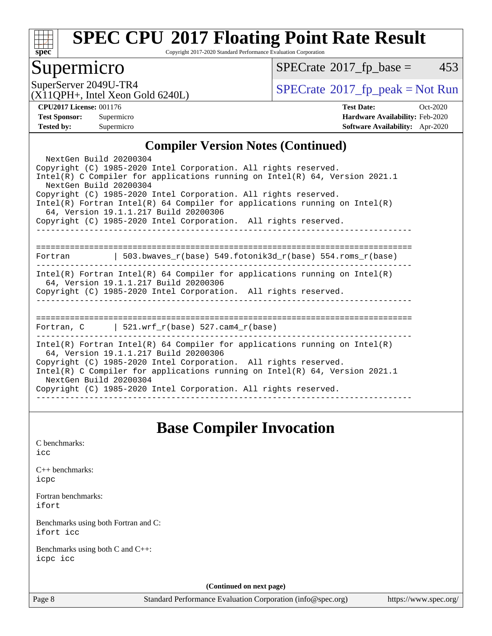

Copyright 2017-2020 Standard Performance Evaluation Corporation

## Supermicro

 $SPECTate@2017_fp\_base = 453$ 

(X11QPH+, Intel Xeon Gold 6240L)

SuperServer 2049U-TR4<br>(X11OPH+ Intel Xeon Gold 6240I) [SPECrate](http://www.spec.org/auto/cpu2017/Docs/result-fields.html#SPECrate2017fppeak)®[2017\\_fp\\_peak = N](http://www.spec.org/auto/cpu2017/Docs/result-fields.html#SPECrate2017fppeak)ot Run

**[CPU2017 License:](http://www.spec.org/auto/cpu2017/Docs/result-fields.html#CPU2017License)** 001176 **[Test Date:](http://www.spec.org/auto/cpu2017/Docs/result-fields.html#TestDate)** Oct-2020 **[Test Sponsor:](http://www.spec.org/auto/cpu2017/Docs/result-fields.html#TestSponsor)** Supermicro **[Hardware Availability:](http://www.spec.org/auto/cpu2017/Docs/result-fields.html#HardwareAvailability)** Feb-2020 **[Tested by:](http://www.spec.org/auto/cpu2017/Docs/result-fields.html#Testedby)** Supermicro **[Software Availability:](http://www.spec.org/auto/cpu2017/Docs/result-fields.html#SoftwareAvailability)** Apr-2020

#### **[Compiler Version Notes \(Continued\)](http://www.spec.org/auto/cpu2017/Docs/result-fields.html#CompilerVersionNotes)**

| NextGen Build 20200304<br>Copyright (C) 1985-2020 Intel Corporation. All rights reserved.<br>Intel(R) C Compiler for applications running on Intel(R) $64$ , Version 2021.1<br>NextGen Build 20200304<br>Copyright (C) 1985-2020 Intel Corporation. All rights reserved.<br>$Intel(R)$ Fortran Intel(R) 64 Compiler for applications running on Intel(R)<br>64, Version 19.1.1.217 Build 20200306<br>Copyright (C) 1985-2020 Intel Corporation. All rights reserved. |  |  |  |  |  |
|----------------------------------------------------------------------------------------------------------------------------------------------------------------------------------------------------------------------------------------------------------------------------------------------------------------------------------------------------------------------------------------------------------------------------------------------------------------------|--|--|--|--|--|
| Fortran                                                                                                                                                                                                                                                                                                                                                                                                                                                              |  |  |  |  |  |
| $Intel(R)$ Fortran Intel(R) 64 Compiler for applications running on Intel(R)<br>64, Version 19.1.1.217 Build 20200306<br>Copyright (C) 1985-2020 Intel Corporation. All rights reserved.                                                                                                                                                                                                                                                                             |  |  |  |  |  |
| Fortran, $C = \vert 521. \text{wrf } r(\text{base})$ 527.cam4 $r(\text{base})$                                                                                                                                                                                                                                                                                                                                                                                       |  |  |  |  |  |
| Intel(R) Fortran Intel(R) 64 Compiler for applications running on Intel(R)<br>64, Version 19.1.1.217 Build 20200306<br>Copyright (C) 1985-2020 Intel Corporation. All rights reserved.<br>Intel(R) C Compiler for applications running on Intel(R) $64$ , Version 2021.1<br>NextGen Build 20200304<br>Copyright (C) 1985-2020 Intel Corporation. All rights reserved.                                                                                                |  |  |  |  |  |

# **[Base Compiler Invocation](http://www.spec.org/auto/cpu2017/Docs/result-fields.html#BaseCompilerInvocation)**

[C benchmarks](http://www.spec.org/auto/cpu2017/Docs/result-fields.html#Cbenchmarks):

[icc](http://www.spec.org/cpu2017/results/res2020q4/cpu2017-20201021-24229.flags.html#user_CCbase_intel_icc_66fc1ee009f7361af1fbd72ca7dcefbb700085f36577c54f309893dd4ec40d12360134090235512931783d35fd58c0460139e722d5067c5574d8eaf2b3e37e92)

[C++ benchmarks:](http://www.spec.org/auto/cpu2017/Docs/result-fields.html#CXXbenchmarks) [icpc](http://www.spec.org/cpu2017/results/res2020q4/cpu2017-20201021-24229.flags.html#user_CXXbase_intel_icpc_c510b6838c7f56d33e37e94d029a35b4a7bccf4766a728ee175e80a419847e808290a9b78be685c44ab727ea267ec2f070ec5dc83b407c0218cded6866a35d07)

[Fortran benchmarks](http://www.spec.org/auto/cpu2017/Docs/result-fields.html#Fortranbenchmarks): [ifort](http://www.spec.org/cpu2017/results/res2020q4/cpu2017-20201021-24229.flags.html#user_FCbase_intel_ifort_8111460550e3ca792625aed983ce982f94888b8b503583aa7ba2b8303487b4d8a21a13e7191a45c5fd58ff318f48f9492884d4413fa793fd88dd292cad7027ca)

[Benchmarks using both Fortran and C](http://www.spec.org/auto/cpu2017/Docs/result-fields.html#BenchmarksusingbothFortranandC): [ifort](http://www.spec.org/cpu2017/results/res2020q4/cpu2017-20201021-24229.flags.html#user_CC_FCbase_intel_ifort_8111460550e3ca792625aed983ce982f94888b8b503583aa7ba2b8303487b4d8a21a13e7191a45c5fd58ff318f48f9492884d4413fa793fd88dd292cad7027ca) [icc](http://www.spec.org/cpu2017/results/res2020q4/cpu2017-20201021-24229.flags.html#user_CC_FCbase_intel_icc_66fc1ee009f7361af1fbd72ca7dcefbb700085f36577c54f309893dd4ec40d12360134090235512931783d35fd58c0460139e722d5067c5574d8eaf2b3e37e92)

[Benchmarks using both C and C++](http://www.spec.org/auto/cpu2017/Docs/result-fields.html#BenchmarksusingbothCandCXX): [icpc](http://www.spec.org/cpu2017/results/res2020q4/cpu2017-20201021-24229.flags.html#user_CC_CXXbase_intel_icpc_c510b6838c7f56d33e37e94d029a35b4a7bccf4766a728ee175e80a419847e808290a9b78be685c44ab727ea267ec2f070ec5dc83b407c0218cded6866a35d07) [icc](http://www.spec.org/cpu2017/results/res2020q4/cpu2017-20201021-24229.flags.html#user_CC_CXXbase_intel_icc_66fc1ee009f7361af1fbd72ca7dcefbb700085f36577c54f309893dd4ec40d12360134090235512931783d35fd58c0460139e722d5067c5574d8eaf2b3e37e92)

**(Continued on next page)**

Page 8 Standard Performance Evaluation Corporation [\(info@spec.org\)](mailto:info@spec.org) <https://www.spec.org/>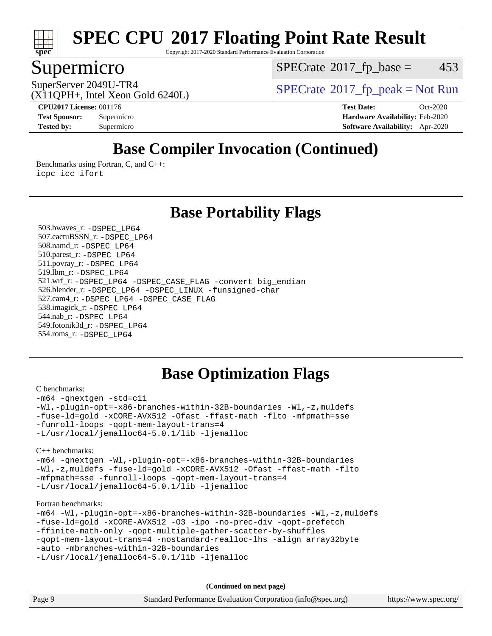

Copyright 2017-2020 Standard Performance Evaluation Corporation

# Supermicro

 $SPECTate@2017_fp\_base = 453$ 

(X11QPH+, Intel Xeon Gold 6240L)

SuperServer 2049U-TR4  $SPECrate@2017$  $SPECrate@2017$  fp\_peak = Not Run

**[CPU2017 License:](http://www.spec.org/auto/cpu2017/Docs/result-fields.html#CPU2017License)** 001176 **[Test Date:](http://www.spec.org/auto/cpu2017/Docs/result-fields.html#TestDate)** Oct-2020 **[Test Sponsor:](http://www.spec.org/auto/cpu2017/Docs/result-fields.html#TestSponsor)** Supermicro **[Hardware Availability:](http://www.spec.org/auto/cpu2017/Docs/result-fields.html#HardwareAvailability)** Feb-2020 **[Tested by:](http://www.spec.org/auto/cpu2017/Docs/result-fields.html#Testedby)** Supermicro **[Software Availability:](http://www.spec.org/auto/cpu2017/Docs/result-fields.html#SoftwareAvailability)** Apr-2020

# **[Base Compiler Invocation \(Continued\)](http://www.spec.org/auto/cpu2017/Docs/result-fields.html#BaseCompilerInvocation)**

[Benchmarks using Fortran, C, and C++:](http://www.spec.org/auto/cpu2017/Docs/result-fields.html#BenchmarksusingFortranCandCXX) [icpc](http://www.spec.org/cpu2017/results/res2020q4/cpu2017-20201021-24229.flags.html#user_CC_CXX_FCbase_intel_icpc_c510b6838c7f56d33e37e94d029a35b4a7bccf4766a728ee175e80a419847e808290a9b78be685c44ab727ea267ec2f070ec5dc83b407c0218cded6866a35d07) [icc](http://www.spec.org/cpu2017/results/res2020q4/cpu2017-20201021-24229.flags.html#user_CC_CXX_FCbase_intel_icc_66fc1ee009f7361af1fbd72ca7dcefbb700085f36577c54f309893dd4ec40d12360134090235512931783d35fd58c0460139e722d5067c5574d8eaf2b3e37e92) [ifort](http://www.spec.org/cpu2017/results/res2020q4/cpu2017-20201021-24229.flags.html#user_CC_CXX_FCbase_intel_ifort_8111460550e3ca792625aed983ce982f94888b8b503583aa7ba2b8303487b4d8a21a13e7191a45c5fd58ff318f48f9492884d4413fa793fd88dd292cad7027ca)

## **[Base Portability Flags](http://www.spec.org/auto/cpu2017/Docs/result-fields.html#BasePortabilityFlags)**

 503.bwaves\_r: [-DSPEC\\_LP64](http://www.spec.org/cpu2017/results/res2020q4/cpu2017-20201021-24229.flags.html#suite_basePORTABILITY503_bwaves_r_DSPEC_LP64) 507.cactuBSSN\_r: [-DSPEC\\_LP64](http://www.spec.org/cpu2017/results/res2020q4/cpu2017-20201021-24229.flags.html#suite_basePORTABILITY507_cactuBSSN_r_DSPEC_LP64) 508.namd\_r: [-DSPEC\\_LP64](http://www.spec.org/cpu2017/results/res2020q4/cpu2017-20201021-24229.flags.html#suite_basePORTABILITY508_namd_r_DSPEC_LP64) 510.parest\_r: [-DSPEC\\_LP64](http://www.spec.org/cpu2017/results/res2020q4/cpu2017-20201021-24229.flags.html#suite_basePORTABILITY510_parest_r_DSPEC_LP64) 511.povray\_r: [-DSPEC\\_LP64](http://www.spec.org/cpu2017/results/res2020q4/cpu2017-20201021-24229.flags.html#suite_basePORTABILITY511_povray_r_DSPEC_LP64) 519.lbm\_r: [-DSPEC\\_LP64](http://www.spec.org/cpu2017/results/res2020q4/cpu2017-20201021-24229.flags.html#suite_basePORTABILITY519_lbm_r_DSPEC_LP64) 521.wrf\_r: [-DSPEC\\_LP64](http://www.spec.org/cpu2017/results/res2020q4/cpu2017-20201021-24229.flags.html#suite_basePORTABILITY521_wrf_r_DSPEC_LP64) [-DSPEC\\_CASE\\_FLAG](http://www.spec.org/cpu2017/results/res2020q4/cpu2017-20201021-24229.flags.html#b521.wrf_r_baseCPORTABILITY_DSPEC_CASE_FLAG) [-convert big\\_endian](http://www.spec.org/cpu2017/results/res2020q4/cpu2017-20201021-24229.flags.html#user_baseFPORTABILITY521_wrf_r_convert_big_endian_c3194028bc08c63ac5d04de18c48ce6d347e4e562e8892b8bdbdc0214820426deb8554edfa529a3fb25a586e65a3d812c835984020483e7e73212c4d31a38223) 526.blender\_r: [-DSPEC\\_LP64](http://www.spec.org/cpu2017/results/res2020q4/cpu2017-20201021-24229.flags.html#suite_basePORTABILITY526_blender_r_DSPEC_LP64) [-DSPEC\\_LINUX](http://www.spec.org/cpu2017/results/res2020q4/cpu2017-20201021-24229.flags.html#b526.blender_r_baseCPORTABILITY_DSPEC_LINUX) [-funsigned-char](http://www.spec.org/cpu2017/results/res2020q4/cpu2017-20201021-24229.flags.html#user_baseCPORTABILITY526_blender_r_force_uchar_40c60f00ab013830e2dd6774aeded3ff59883ba5a1fc5fc14077f794d777847726e2a5858cbc7672e36e1b067e7e5c1d9a74f7176df07886a243d7cc18edfe67) 527.cam4\_r: [-DSPEC\\_LP64](http://www.spec.org/cpu2017/results/res2020q4/cpu2017-20201021-24229.flags.html#suite_basePORTABILITY527_cam4_r_DSPEC_LP64) [-DSPEC\\_CASE\\_FLAG](http://www.spec.org/cpu2017/results/res2020q4/cpu2017-20201021-24229.flags.html#b527.cam4_r_baseCPORTABILITY_DSPEC_CASE_FLAG) 538.imagick\_r: [-DSPEC\\_LP64](http://www.spec.org/cpu2017/results/res2020q4/cpu2017-20201021-24229.flags.html#suite_basePORTABILITY538_imagick_r_DSPEC_LP64) 544.nab\_r: [-DSPEC\\_LP64](http://www.spec.org/cpu2017/results/res2020q4/cpu2017-20201021-24229.flags.html#suite_basePORTABILITY544_nab_r_DSPEC_LP64) 549.fotonik3d\_r: [-DSPEC\\_LP64](http://www.spec.org/cpu2017/results/res2020q4/cpu2017-20201021-24229.flags.html#suite_basePORTABILITY549_fotonik3d_r_DSPEC_LP64) 554.roms\_r: [-DSPEC\\_LP64](http://www.spec.org/cpu2017/results/res2020q4/cpu2017-20201021-24229.flags.html#suite_basePORTABILITY554_roms_r_DSPEC_LP64)

# **[Base Optimization Flags](http://www.spec.org/auto/cpu2017/Docs/result-fields.html#BaseOptimizationFlags)**

#### [C benchmarks](http://www.spec.org/auto/cpu2017/Docs/result-fields.html#Cbenchmarks):

[-m64](http://www.spec.org/cpu2017/results/res2020q4/cpu2017-20201021-24229.flags.html#user_CCbase_m64-icc) [-qnextgen](http://www.spec.org/cpu2017/results/res2020q4/cpu2017-20201021-24229.flags.html#user_CCbase_f-qnextgen) [-std=c11](http://www.spec.org/cpu2017/results/res2020q4/cpu2017-20201021-24229.flags.html#user_CCbase_std-icc-std_0e1c27790398a4642dfca32ffe6c27b5796f9c2d2676156f2e42c9c44eaad0c049b1cdb667a270c34d979996257aeb8fc440bfb01818dbc9357bd9d174cb8524) [-Wl,-plugin-opt=-x86-branches-within-32B-boundaries](http://www.spec.org/cpu2017/results/res2020q4/cpu2017-20201021-24229.flags.html#user_CCbase_f-x86-branches-within-32B-boundaries_0098b4e4317ae60947b7b728078a624952a08ac37a3c797dfb4ffeb399e0c61a9dd0f2f44ce917e9361fb9076ccb15e7824594512dd315205382d84209e912f3) [-Wl,-z,muldefs](http://www.spec.org/cpu2017/results/res2020q4/cpu2017-20201021-24229.flags.html#user_CCbase_link_force_multiple1_b4cbdb97b34bdee9ceefcfe54f4c8ea74255f0b02a4b23e853cdb0e18eb4525ac79b5a88067c842dd0ee6996c24547a27a4b99331201badda8798ef8a743f577) [-fuse-ld=gold](http://www.spec.org/cpu2017/results/res2020q4/cpu2017-20201021-24229.flags.html#user_CCbase_f-fuse-ld_920b3586e2b8c6e0748b9c84fa9b744736ba725a32cab14ad8f3d4ad28eecb2f59d1144823d2e17006539a88734fe1fc08fc3035f7676166309105a78aaabc32) [-xCORE-AVX512](http://www.spec.org/cpu2017/results/res2020q4/cpu2017-20201021-24229.flags.html#user_CCbase_f-xCORE-AVX512) [-Ofast](http://www.spec.org/cpu2017/results/res2020q4/cpu2017-20201021-24229.flags.html#user_CCbase_f-Ofast) [-ffast-math](http://www.spec.org/cpu2017/results/res2020q4/cpu2017-20201021-24229.flags.html#user_CCbase_f-ffast-math) [-flto](http://www.spec.org/cpu2017/results/res2020q4/cpu2017-20201021-24229.flags.html#user_CCbase_f-flto) [-mfpmath=sse](http://www.spec.org/cpu2017/results/res2020q4/cpu2017-20201021-24229.flags.html#user_CCbase_f-mfpmath_70eb8fac26bde974f8ab713bc9086c5621c0b8d2f6c86f38af0bd7062540daf19db5f3a066d8c6684be05d84c9b6322eb3b5be6619d967835195b93d6c02afa1) [-funroll-loops](http://www.spec.org/cpu2017/results/res2020q4/cpu2017-20201021-24229.flags.html#user_CCbase_f-funroll-loops) [-qopt-mem-layout-trans=4](http://www.spec.org/cpu2017/results/res2020q4/cpu2017-20201021-24229.flags.html#user_CCbase_f-qopt-mem-layout-trans_fa39e755916c150a61361b7846f310bcdf6f04e385ef281cadf3647acec3f0ae266d1a1d22d972a7087a248fd4e6ca390a3634700869573d231a252c784941a8) [-L/usr/local/jemalloc64-5.0.1/lib](http://www.spec.org/cpu2017/results/res2020q4/cpu2017-20201021-24229.flags.html#user_CCbase_jemalloc_link_path64_1_cc289568b1a6c0fd3b62c91b824c27fcb5af5e8098e6ad028160d21144ef1b8aef3170d2acf0bee98a8da324cfe4f67d0a3d0c4cc4673d993d694dc2a0df248b) [-ljemalloc](http://www.spec.org/cpu2017/results/res2020q4/cpu2017-20201021-24229.flags.html#user_CCbase_jemalloc_link_lib_d1249b907c500fa1c0672f44f562e3d0f79738ae9e3c4a9c376d49f265a04b9c99b167ecedbf6711b3085be911c67ff61f150a17b3472be731631ba4d0471706)

[C++ benchmarks:](http://www.spec.org/auto/cpu2017/Docs/result-fields.html#CXXbenchmarks)

[-m64](http://www.spec.org/cpu2017/results/res2020q4/cpu2017-20201021-24229.flags.html#user_CXXbase_m64-icc) [-qnextgen](http://www.spec.org/cpu2017/results/res2020q4/cpu2017-20201021-24229.flags.html#user_CXXbase_f-qnextgen) [-Wl,-plugin-opt=-x86-branches-within-32B-boundaries](http://www.spec.org/cpu2017/results/res2020q4/cpu2017-20201021-24229.flags.html#user_CXXbase_f-x86-branches-within-32B-boundaries_0098b4e4317ae60947b7b728078a624952a08ac37a3c797dfb4ffeb399e0c61a9dd0f2f44ce917e9361fb9076ccb15e7824594512dd315205382d84209e912f3) [-Wl,-z,muldefs](http://www.spec.org/cpu2017/results/res2020q4/cpu2017-20201021-24229.flags.html#user_CXXbase_link_force_multiple1_b4cbdb97b34bdee9ceefcfe54f4c8ea74255f0b02a4b23e853cdb0e18eb4525ac79b5a88067c842dd0ee6996c24547a27a4b99331201badda8798ef8a743f577) [-fuse-ld=gold](http://www.spec.org/cpu2017/results/res2020q4/cpu2017-20201021-24229.flags.html#user_CXXbase_f-fuse-ld_920b3586e2b8c6e0748b9c84fa9b744736ba725a32cab14ad8f3d4ad28eecb2f59d1144823d2e17006539a88734fe1fc08fc3035f7676166309105a78aaabc32) [-xCORE-AVX512](http://www.spec.org/cpu2017/results/res2020q4/cpu2017-20201021-24229.flags.html#user_CXXbase_f-xCORE-AVX512) [-Ofast](http://www.spec.org/cpu2017/results/res2020q4/cpu2017-20201021-24229.flags.html#user_CXXbase_f-Ofast) [-ffast-math](http://www.spec.org/cpu2017/results/res2020q4/cpu2017-20201021-24229.flags.html#user_CXXbase_f-ffast-math) [-flto](http://www.spec.org/cpu2017/results/res2020q4/cpu2017-20201021-24229.flags.html#user_CXXbase_f-flto) [-mfpmath=sse](http://www.spec.org/cpu2017/results/res2020q4/cpu2017-20201021-24229.flags.html#user_CXXbase_f-mfpmath_70eb8fac26bde974f8ab713bc9086c5621c0b8d2f6c86f38af0bd7062540daf19db5f3a066d8c6684be05d84c9b6322eb3b5be6619d967835195b93d6c02afa1) [-funroll-loops](http://www.spec.org/cpu2017/results/res2020q4/cpu2017-20201021-24229.flags.html#user_CXXbase_f-funroll-loops) [-qopt-mem-layout-trans=4](http://www.spec.org/cpu2017/results/res2020q4/cpu2017-20201021-24229.flags.html#user_CXXbase_f-qopt-mem-layout-trans_fa39e755916c150a61361b7846f310bcdf6f04e385ef281cadf3647acec3f0ae266d1a1d22d972a7087a248fd4e6ca390a3634700869573d231a252c784941a8) [-L/usr/local/jemalloc64-5.0.1/lib](http://www.spec.org/cpu2017/results/res2020q4/cpu2017-20201021-24229.flags.html#user_CXXbase_jemalloc_link_path64_1_cc289568b1a6c0fd3b62c91b824c27fcb5af5e8098e6ad028160d21144ef1b8aef3170d2acf0bee98a8da324cfe4f67d0a3d0c4cc4673d993d694dc2a0df248b) [-ljemalloc](http://www.spec.org/cpu2017/results/res2020q4/cpu2017-20201021-24229.flags.html#user_CXXbase_jemalloc_link_lib_d1249b907c500fa1c0672f44f562e3d0f79738ae9e3c4a9c376d49f265a04b9c99b167ecedbf6711b3085be911c67ff61f150a17b3472be731631ba4d0471706)

[Fortran benchmarks](http://www.spec.org/auto/cpu2017/Docs/result-fields.html#Fortranbenchmarks):

```
-m64 -Wl,-plugin-opt=-x86-branches-within-32B-boundaries -Wl,-z,muldefs
-fuse-ld=gold -xCORE-AVX512 -O3 -ipo -no-prec-div -qopt-prefetch
-ffinite-math-only -qopt-multiple-gather-scatter-by-shuffles
-qopt-mem-layout-trans=4 -nostandard-realloc-lhs -align array32byte
-auto -mbranches-within-32B-boundaries
-L/usr/local/jemalloc64-5.0.1/lib -ljemalloc
```
**(Continued on next page)**

| Page 9 | Standard Performance Evaluation Corporation (info@spec.org) | https://www.spec.org/ |
|--------|-------------------------------------------------------------|-----------------------|
|        |                                                             |                       |